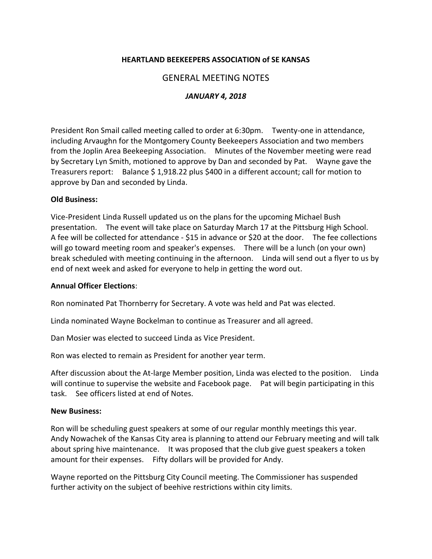## **HEARTLAND BEEKEEPERS ASSOCIATION of SE KANSAS**

## GENERAL MEETING NOTES

## *JANUARY 4, 2018*

President Ron Smail called meeting called to order at 6:30pm. Twenty-one in attendance, including Arvaughn for the Montgomery County Beekeepers Association and two members from the Joplin Area Beekeeping Association. Minutes of the November meeting were read by Secretary Lyn Smith, motioned to approve by Dan and seconded by Pat. Wayne gave the Treasurers report: Balance \$ 1,918.22 plus \$400 in a different account; call for motion to approve by Dan and seconded by Linda.

#### **Old Business:**

Vice-President Linda Russell updated us on the plans for the upcoming Michael Bush presentation. The event will take place on Saturday March 17 at the Pittsburg High School. A fee will be collected for attendance - \$15 in advance or \$20 at the door. The fee collections will go toward meeting room and speaker's expenses. There will be a lunch (on your own) break scheduled with meeting continuing in the afternoon. Linda will send out a flyer to us by end of next week and asked for everyone to help in getting the word out.

#### **Annual Officer Elections**:

Ron nominated Pat Thornberry for Secretary. A vote was held and Pat was elected.

Linda nominated Wayne Bockelman to continue as Treasurer and all agreed.

Dan Mosier was elected to succeed Linda as Vice President.

Ron was elected to remain as President for another year term.

After discussion about the At-large Member position, Linda was elected to the position. Linda will continue to supervise the website and Facebook page. Pat will begin participating in this task. See officers listed at end of Notes.

#### **New Business:**

Ron will be scheduling guest speakers at some of our regular monthly meetings this year. Andy Nowachek of the Kansas City area is planning to attend our February meeting and will talk about spring hive maintenance. It was proposed that the club give guest speakers a token amount for their expenses. Fifty dollars will be provided for Andy.

Wayne reported on the Pittsburg City Council meeting. The Commissioner has suspended further activity on the subject of beehive restrictions within city limits.